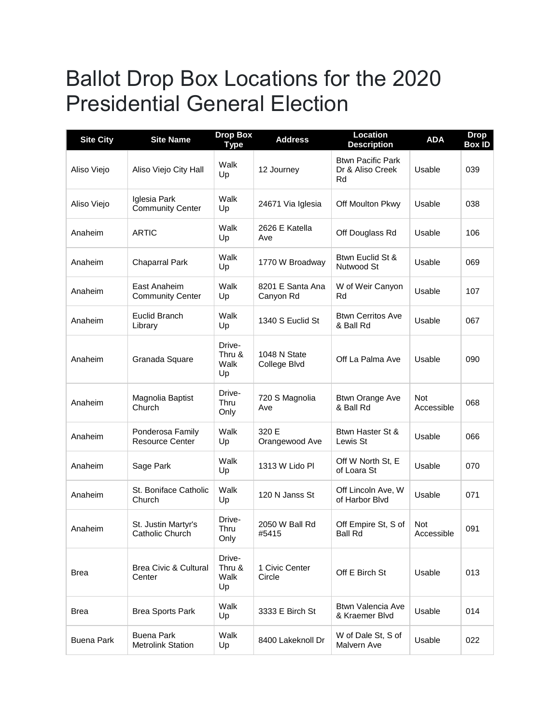## Ballot Drop Box Locations for the 2020 Presidential General Election

| <b>Site City</b>  | <b>Site Name</b>                              | <b>Drop Box</b><br><b>Type</b> | <b>Address</b>                | <b>Location</b><br><b>Description</b>              | <b>ADA</b>               | <b>Drop</b><br><b>Box ID</b> |
|-------------------|-----------------------------------------------|--------------------------------|-------------------------------|----------------------------------------------------|--------------------------|------------------------------|
| Aliso Viejo       | Aliso Viejo City Hall                         | Walk<br>Up                     | 12 Journey                    | <b>Btwn Pacific Park</b><br>Dr & Aliso Creek<br>Rd | Usable                   | 039                          |
| Aliso Viejo       | Iglesia Park<br><b>Community Center</b>       | Walk<br>Up                     | 24671 Via Iglesia             | Off Moulton Pkwy                                   | Usable                   | 038                          |
| Anaheim           | <b>ARTIC</b>                                  | Walk<br>Up                     | 2626 E Katella<br>Ave         | Off Douglass Rd                                    | Usable                   | 106                          |
| Anaheim           | <b>Chaparral Park</b>                         | Walk<br>Up                     | 1770 W Broadway               | Btwn Euclid St &<br>Nutwood St                     | Usable                   | 069                          |
| Anaheim           | East Anaheim<br><b>Community Center</b>       | Walk<br>Up                     | 8201 E Santa Ana<br>Canyon Rd | W of Weir Canyon<br>Rd                             | Usable                   | 107                          |
| Anaheim           | Euclid Branch<br>Library                      | Walk<br>Up                     | 1340 S Euclid St              | <b>Btwn Cerritos Ave</b><br>& Ball Rd              | Usable                   | 067                          |
| Anaheim           | Granada Square                                | Drive-<br>Thru &<br>Walk<br>Up | 1048 N State<br>College Blvd  | Off La Palma Ave                                   | Usable                   | 090                          |
| Anaheim           | Magnolia Baptist<br>Church                    | Drive-<br>Thru<br>Only         | 720 S Magnolia<br>Ave         | <b>Btwn Orange Ave</b><br>& Ball Rd                | <b>Not</b><br>Accessible | 068                          |
| Anaheim           | Ponderosa Family<br><b>Resource Center</b>    | Walk<br>Up                     | 320 E<br>Orangewood Ave       | Btwn Haster St &<br>Lewis St                       | Usable                   | 066                          |
| Anaheim           | Sage Park                                     | Walk<br>Up                     | 1313 W Lido Pl                | Off W North St, E<br>of Loara St                   | Usable                   | 070                          |
| Anaheim           | St. Boniface Catholic<br>Church               | Walk<br>Up                     | 120 N Janss St                | Off Lincoln Ave, W<br>of Harbor Blvd               | Usable                   | 071                          |
| Anaheim           | St. Justin Martyr's<br>Catholic Church        | Drive-<br>Thru<br>Only         | 2050 W Ball Rd<br>#5415       | Off Empire St, S of<br><b>Ball Rd</b>              | Not<br>Accessible        | 091                          |
| <b>Brea</b>       | <b>Brea Civic &amp; Cultural</b><br>Center    | Drive-<br>Thru &<br>Walk<br>Up | 1 Civic Center<br>Circle      | Off E Birch St                                     | Usable                   | 013                          |
| <b>Brea</b>       | <b>Brea Sports Park</b>                       | Walk<br>Up                     | 3333 E Birch St               | <b>Btwn Valencia Ave</b><br>& Kraemer Blvd         | Usable                   | 014                          |
| <b>Buena Park</b> | <b>Buena Park</b><br><b>Metrolink Station</b> | Walk<br>Up                     | 8400 Lakeknoll Dr             | W of Dale St, S of<br>Malvern Ave                  | Usable                   | 022                          |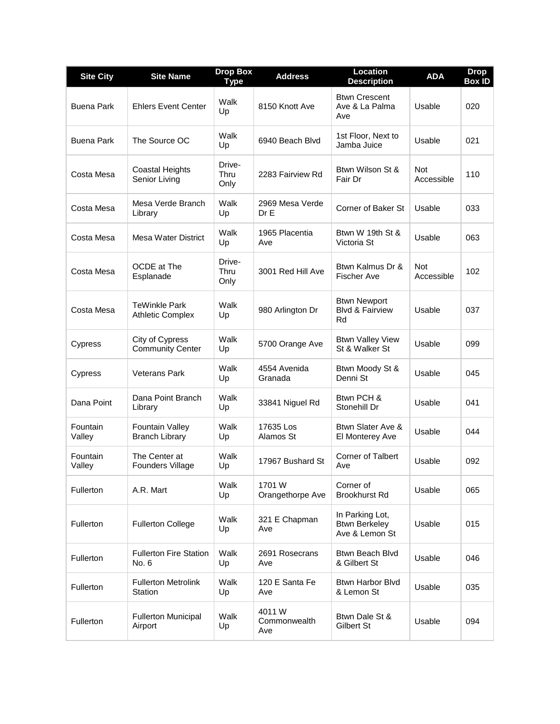| <b>Site City</b>          | <b>Site Name</b>                                | <b>Drop Box</b><br>Type | <b>Address</b>                | Location<br><b>Description</b>                            | <b>ADA</b>               | <b>Drop</b><br><b>Box ID</b> |
|---------------------------|-------------------------------------------------|-------------------------|-------------------------------|-----------------------------------------------------------|--------------------------|------------------------------|
| Buena Park                | <b>Ehlers Event Center</b>                      | Walk<br>Up              | 8150 Knott Ave                | <b>Btwn Crescent</b><br>Ave & La Palma<br>Ave             | Usable                   | 020                          |
| <b>Buena Park</b>         | The Source OC                                   | Walk<br>Up              | 6940 Beach Blvd               | 1st Floor, Next to<br>Jamba Juice                         | Usable                   | 021                          |
| Costa Mesa                | Coastal Heights<br>Senior Living                | Drive-<br>Thru<br>Only  | 2283 Fairview Rd              | Btwn Wilson St &<br>Fair Dr                               | <b>Not</b><br>Accessible | 110                          |
| Costa Mesa                | Mesa Verde Branch<br>Library                    | Walk<br>Up              | 2969 Mesa Verde<br>Dr E       | Corner of Baker St                                        | Usable                   | 033                          |
| Costa Mesa                | Mesa Water District                             | Walk<br>Up              | 1965 Placentia<br>Ave         | Btwn W 19th St &<br>Victoria St                           | Usable                   | 063                          |
| Costa Mesa                | OCDE at The<br>Esplanade                        | Drive-<br>Thru<br>Only  | 3001 Red Hill Ave             | Btwn Kalmus Dr &<br><b>Fischer Ave</b>                    | <b>Not</b><br>Accessible | 102                          |
| Costa Mesa                | <b>TeWinkle Park</b><br><b>Athletic Complex</b> | Walk<br>Up              | 980 Arlington Dr              | <b>Btwn Newport</b><br><b>Blvd &amp; Fairview</b><br>Rd   | Usable                   | 037                          |
| Cypress                   | City of Cypress<br><b>Community Center</b>      | Walk<br>Up              | 5700 Orange Ave               | <b>Btwn Valley View</b><br>St & Walker St                 | Usable                   | 099                          |
| Cypress                   | <b>Veterans Park</b>                            | Walk<br>Up              | 4554 Avenida<br>Granada       | Btwn Moody St &<br>Denni St                               | Usable                   | 045                          |
| Dana Point                | Dana Point Branch<br>Library                    | Walk<br>Up              | 33841 Niguel Rd               | Btwn PCH &<br>Stonehill Dr                                | Usable                   | 041                          |
| <b>Fountain</b><br>Valley | <b>Fountain Valley</b><br><b>Branch Library</b> | Walk<br>Up              | 17635 Los<br>Alamos St        | Btwn Slater Ave &<br>El Monterey Ave                      | Usable                   | 044                          |
| Fountain<br>Valley        | The Center at<br>Founders Village               | Walk<br>Up              | 17967 Bushard St              | <b>Corner of Talbert</b><br>Ave                           | Usable                   | 092                          |
| Fullerton                 | A.R. Mart                                       | Walk<br>Up              | 1701 W<br>Orangethorpe Ave    | Corner of<br><b>Brookhurst Rd</b>                         | Usable                   | 065                          |
| Fullerton                 | <b>Fullerton College</b>                        | Walk<br>Up              | 321 E Chapman<br>Ave          | In Parking Lot,<br><b>Btwn Berkeley</b><br>Ave & Lemon St | Usable                   | 015                          |
| Fullerton                 | <b>Fullerton Fire Station</b><br>No. 6          | Walk<br>Up              | 2691 Rosecrans<br>Ave         | Btwn Beach Blvd<br>& Gilbert St                           | Usable                   | 046                          |
| Fullerton                 | <b>Fullerton Metrolink</b><br>Station           | Walk<br>Up              | 120 E Santa Fe<br>Ave         | <b>Btwn Harbor Blvd</b><br>& Lemon St                     | Usable                   | 035                          |
| Fullerton                 | <b>Fullerton Municipal</b><br>Airport           | Walk<br>Up              | 4011 W<br>Commonwealth<br>Ave | Btwn Dale St &<br>Gilbert St                              | Usable                   | 094                          |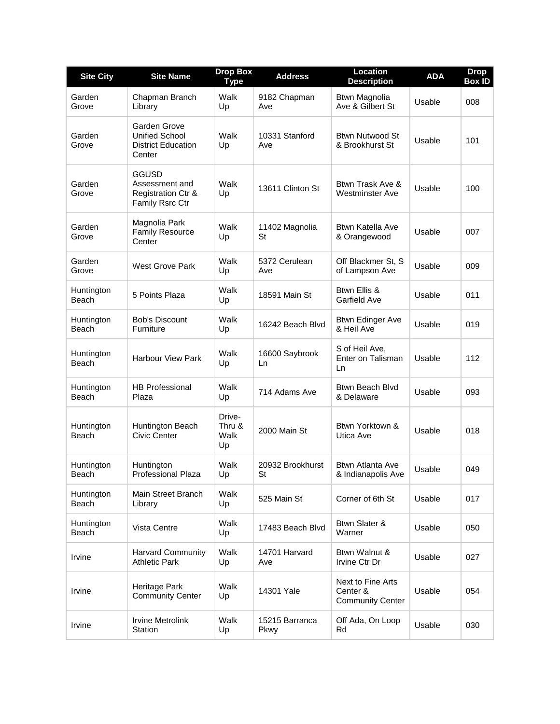| <b>Site City</b>    | <b>Site Name</b>                                                                   | <b>Drop Box</b><br><b>Type</b> | <b>Address</b>         | Location<br><b>Description</b>                           | <b>ADA</b> | <b>Drop</b><br><b>Box ID</b> |
|---------------------|------------------------------------------------------------------------------------|--------------------------------|------------------------|----------------------------------------------------------|------------|------------------------------|
| Garden<br>Grove     | Chapman Branch<br>Library                                                          | Walk<br>Up                     | 9182 Chapman<br>Ave    | Btwn Magnolia<br>Ave & Gilbert St                        | Usable     | 008                          |
| Garden<br>Grove     | Garden Grove<br><b>Unified School</b><br><b>District Education</b><br>Center       | Walk<br>Up                     | 10331 Stanford<br>Ave  | <b>Btwn Nutwood St</b><br>& Brookhurst St                | Usable     | 101                          |
| Garden<br>Grove     | <b>GGUSD</b><br>Assessment and<br><b>Registration Ctr &amp;</b><br>Family Rsrc Ctr | Walk<br>Up                     | 13611 Clinton St       | Btwn Trask Ave &<br><b>Westminster Ave</b>               | Usable     | 100                          |
| Garden<br>Grove     | Magnolia Park<br><b>Family Resource</b><br>Center                                  | Walk<br>Up                     | 11402 Magnolia<br>St   | Btwn Katella Ave<br>& Orangewood                         | Usable     | 007                          |
| Garden<br>Grove     | West Grove Park                                                                    | Walk<br>Up                     | 5372 Cerulean<br>Ave   | Off Blackmer St, S<br>of Lampson Ave                     | Usable     | 009                          |
| Huntington<br>Beach | 5 Points Plaza                                                                     | Walk<br>Up                     | 18591 Main St          | Btwn Ellis &<br>Garfield Ave                             | Usable     | 011                          |
| Huntington<br>Beach | <b>Bob's Discount</b><br>Furniture                                                 | Walk<br>Up                     | 16242 Beach Blvd       | <b>Btwn Edinger Ave</b><br>& Heil Ave                    | Usable     | 019                          |
| Huntington<br>Beach | <b>Harbour View Park</b>                                                           | Walk<br>Up                     | 16600 Saybrook<br>Ln   | S of Heil Ave,<br>Enter on Talisman<br>Ln                | Usable     | 112                          |
| Huntington<br>Beach | <b>HB Professional</b><br>Plaza                                                    | Walk<br>Up                     | 714 Adams Ave          | Btwn Beach Blvd<br>& Delaware                            | Usable     | 093                          |
| Huntington<br>Beach | Huntington Beach<br>Civic Center                                                   | Drive-<br>Thru &<br>Walk<br>Up | 2000 Main St           | Btwn Yorktown &<br>Utica Ave                             | Usable     | 018                          |
| Huntington<br>Beach | Huntington<br>Professional Plaza                                                   | Walk<br>Up                     | 20932 Brookhurst<br>St | Btwn Atlanta Ave<br>& Indianapolis Ave                   | Usable     | 049                          |
| Huntington<br>Beach | Main Street Branch<br>Library                                                      | Walk<br>Up                     | 525 Main St            | Corner of 6th St                                         | Usable     | 017                          |
| Huntington<br>Beach | Vista Centre                                                                       | Walk<br>Up                     | 17483 Beach Blvd       | Btwn Slater &<br>Warner                                  | Usable     | 050                          |
| Irvine              | <b>Harvard Community</b><br><b>Athletic Park</b>                                   | Walk<br>Up                     | 14701 Harvard<br>Ave   | Btwn Walnut &<br>Irvine Ctr Dr                           | Usable     | 027                          |
| Irvine              | Heritage Park<br><b>Community Center</b>                                           | Walk<br>Up                     | 14301 Yale             | Next to Fine Arts<br>Center &<br><b>Community Center</b> | Usable     | 054                          |
| Irvine              | <b>Irvine Metrolink</b><br>Station                                                 | Walk<br>Up                     | 15215 Barranca<br>Pkwy | Off Ada, On Loop<br>Rd                                   | Usable     | 030                          |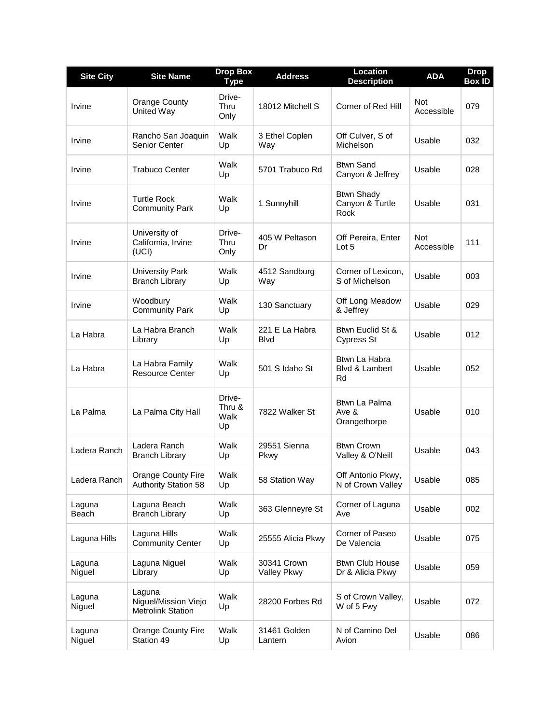| <b>Site City</b> | <b>Site Name</b>                                           | <b>Drop Box</b><br><b>Type</b> | <b>Address</b>                 | <b>Location</b><br><b>Description</b>        | <b>ADA</b>               | <b>Drop</b><br><b>Box ID</b> |
|------------------|------------------------------------------------------------|--------------------------------|--------------------------------|----------------------------------------------|--------------------------|------------------------------|
| Irvine           | <b>Orange County</b><br>United Way                         | Drive-<br>Thru<br>Only         | 18012 Mitchell S               | Corner of Red Hill                           | <b>Not</b><br>Accessible | 079                          |
| Irvine           | Rancho San Joaquin<br>Senior Center                        | Walk<br>Up                     | 3 Ethel Coplen<br>Way          | Off Culver, S of<br>Michelson                | Usable                   | 032                          |
| Irvine           | <b>Trabuco Center</b>                                      | Walk<br>Up                     | 5701 Trabuco Rd                | <b>Btwn Sand</b><br>Canyon & Jeffrey         | Usable                   | 028                          |
| Irvine           | <b>Turtle Rock</b><br><b>Community Park</b>                | Walk<br>Up                     | 1 Sunnyhill                    | <b>Btwn Shady</b><br>Canyon & Turtle<br>Rock | Usable                   | 031                          |
| Irvine           | University of<br>California, Irvine<br>(UCI)               | Drive-<br>Thru<br>Only         | 405 W Peltason<br>Dr           | Off Pereira, Enter<br>Lot 5                  | <b>Not</b><br>Accessible | 111                          |
| Irvine           | <b>University Park</b><br><b>Branch Library</b>            | Walk<br>Up                     | 4512 Sandburg<br>Way           | Corner of Lexicon.<br>S of Michelson         | Usable                   | 003                          |
| Irvine           | Woodbury<br><b>Community Park</b>                          | Walk<br>Up                     | 130 Sanctuary                  | Off Long Meadow<br>& Jeffrey                 | Usable                   | 029                          |
| La Habra         | La Habra Branch<br>Library                                 | Walk<br>Up                     | 221 E La Habra<br><b>B</b> lvd | Btwn Euclid St &<br>Cypress St               | Usable                   | 012                          |
| La Habra         | La Habra Family<br><b>Resource Center</b>                  | Walk<br>Up                     | 501 S Idaho St                 | Btwn La Habra<br>Blvd & Lambert<br>Rd        | Usable                   | 052                          |
| La Palma         | La Palma City Hall                                         | Drive-<br>Thru &<br>Walk<br>Up | 7822 Walker St                 | Btwn La Palma<br>Ave &<br>Orangethorpe       | Usable                   | 010                          |
| Ladera Ranch     | Ladera Ranch<br><b>Branch Library</b>                      | Walk<br>Up                     | 29551 Sienna<br>Pkwy           | <b>Btwn Crown</b><br>Valley & O'Neill        | Usable                   | 043                          |
| Ladera Ranch     | Orange County Fire<br><b>Authority Station 58</b>          | Walk<br>Up                     | 58 Station Way                 | Off Antonio Pkwy,<br>N of Crown Valley       | Usable                   | 085                          |
| Laguna<br>Beach  | Laguna Beach<br><b>Branch Library</b>                      | Walk<br>Up                     | 363 Glenneyre St               | Corner of Laguna<br>Ave                      | Usable                   | 002                          |
| Laguna Hills     | Laguna Hills<br><b>Community Center</b>                    | Walk<br>Up                     | 25555 Alicia Pkwy              | Corner of Paseo<br>De Valencia               | Usable                   | 075                          |
| Laguna<br>Niguel | Laguna Niguel<br>Library                                   | Walk<br>Up                     | 30341 Crown<br>Valley Pkwy     | <b>Btwn Club House</b><br>Dr & Alicia Pkwy   | Usable                   | 059                          |
| Laguna<br>Niguel | Laguna<br>Niguel/Mission Viejo<br><b>Metrolink Station</b> | Walk<br>Up                     | 28200 Forbes Rd                | S of Crown Valley,<br>W of 5 Fwy             | Usable                   | 072                          |
| Laguna<br>Niguel | Orange County Fire<br>Station 49                           | Walk<br>Up                     | 31461 Golden<br>Lantern        | N of Camino Del<br>Avion                     | Usable                   | 086                          |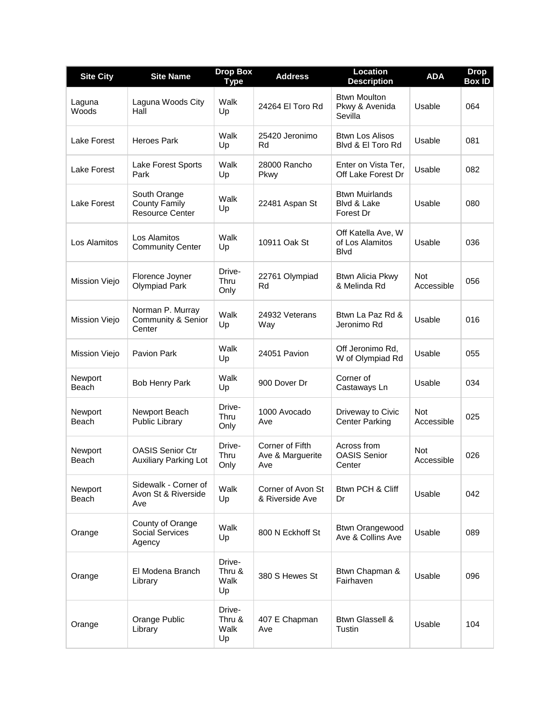| <b>Site City</b> | <b>Site Name</b>                                               | <b>Drop Box</b><br><b>Type</b> | <b>Address</b>                             | <b>Location</b><br><b>Description</b>                 | <b>ADA</b>               | <b>Drop</b><br><b>Box ID</b> |
|------------------|----------------------------------------------------------------|--------------------------------|--------------------------------------------|-------------------------------------------------------|--------------------------|------------------------------|
| Laguna<br>Woods  | Laguna Woods City<br>Hall                                      | Walk<br>Up                     | 24264 El Toro Rd                           | <b>Btwn Moulton</b><br>Pkwy & Avenida<br>Sevilla      | Usable                   | 064                          |
| Lake Forest      | <b>Heroes Park</b>                                             | Walk<br>Up                     | 25420 Jeronimo<br>Rd                       | <b>Btwn Los Alisos</b><br>Blyd & El Toro Rd           | Usable                   | 081                          |
| Lake Forest      | Lake Forest Sports<br>Park                                     | Walk<br>Up                     | 28000 Rancho<br>Pkwy                       | Enter on Vista Ter,<br>Off Lake Forest Dr             | Usable                   | 082                          |
| Lake Forest      | South Orange<br><b>County Family</b><br><b>Resource Center</b> | Walk<br>Up                     | 22481 Aspan St                             | <b>Btwn Muirlands</b><br>Blvd & Lake<br>Forest Dr     | Usable                   | 080                          |
| Los Alamitos     | Los Alamitos<br><b>Community Center</b>                        | Walk<br>Up                     | 10911 Oak St                               | Off Katella Ave, W<br>of Los Alamitos<br><b>B</b> lvd | Usable                   | 036                          |
| Mission Viejo    | Florence Joyner<br><b>Olympiad Park</b>                        | Drive-<br>Thru<br>Only         | 22761 Olympiad<br>Rd                       | <b>Btwn Alicia Pkwy</b><br>& Melinda Rd               | <b>Not</b><br>Accessible | 056                          |
| Mission Viejo    | Norman P. Murray<br>Community & Senior<br>Center               | Walk<br>Up                     | 24932 Veterans<br>Way                      | Btwn La Paz Rd &<br>Jeronimo Rd                       | Usable                   | 016                          |
| Mission Viejo    | Pavion Park                                                    | Walk<br>Up                     | 24051 Pavion                               | Off Jeronimo Rd.<br>W of Olympiad Rd                  | Usable                   | 055                          |
| Newport<br>Beach | <b>Bob Henry Park</b>                                          | Walk<br>Up                     | 900 Dover Dr                               | Corner of<br>Castaways Ln                             | Usable                   | 034                          |
| Newport<br>Beach | Newport Beach<br>Public Library                                | Drive-<br><b>Thru</b><br>Only  | 1000 Avocado<br>Ave                        | Driveway to Civic<br><b>Center Parking</b>            | <b>Not</b><br>Accessible | 025                          |
| Newport<br>Beach | <b>OASIS Senior Ctr</b><br><b>Auxiliary Parking Lot</b>        | Drive-<br><b>Thru</b><br>Only  | Corner of Fifth<br>Ave & Marguerite<br>Ave | Across from<br><b>OASIS Senior</b><br>Center          | <b>Not</b><br>Accessible | 026                          |
| Newport<br>Beach | Sidewalk - Corner of<br>Avon St & Riverside<br>Ave             | Walk<br>Up                     | Corner of Avon St<br>& Riverside Ave       | Btwn PCH & Cliff<br>Dr                                | Usable                   | 042                          |
| Orange           | County of Orange<br><b>Social Services</b><br>Agency           | Walk<br>Up                     | 800 N Eckhoff St                           | <b>Btwn Orangewood</b><br>Ave & Collins Ave           | Usable                   | 089                          |
| Orange           | El Modena Branch<br>Library                                    | Drive-<br>Thru &<br>Walk<br>Up | 380 S Hewes St                             | Btwn Chapman &<br>Fairhaven                           | Usable                   | 096                          |
| Orange           | Orange Public<br>Library                                       | Drive-<br>Thru &<br>Walk<br>Up | 407 E Chapman<br>Ave                       | <b>Btwn Glassell &amp;</b><br>Tustin                  | Usable                   | 104                          |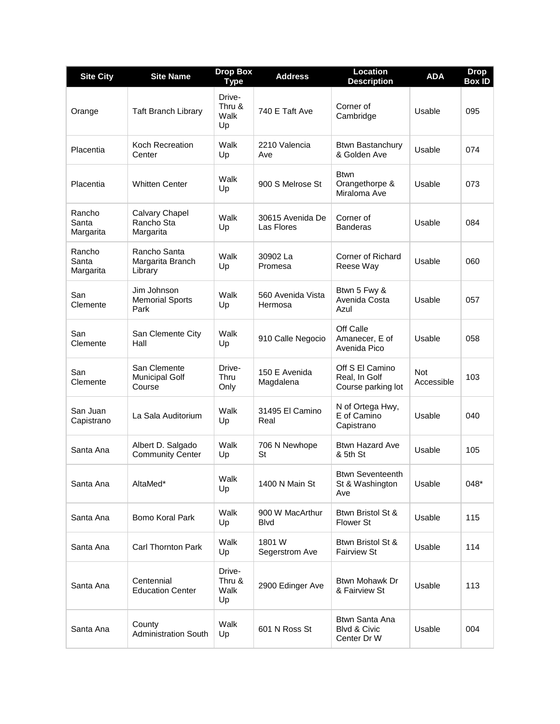| <b>Site City</b>             | <b>Site Name</b>                                | <b>Drop Box</b><br><b>Type</b> | <b>Address</b>                 | <b>Location</b><br><b>Description</b>                    | <b>ADA</b>               | <b>Drop</b><br><b>Box ID</b> |
|------------------------------|-------------------------------------------------|--------------------------------|--------------------------------|----------------------------------------------------------|--------------------------|------------------------------|
| Orange                       | <b>Taft Branch Library</b>                      | Drive-<br>Thru &<br>Walk<br>Up | 740 E Taft Ave                 | Corner of<br>Cambridge                                   | Usable                   | 095                          |
| Placentia                    | <b>Koch Recreation</b><br>Center                | Walk<br>Up                     | 2210 Valencia<br>Ave           | <b>Btwn Bastanchury</b><br>& Golden Ave                  | Usable                   | 074                          |
| Placentia                    | <b>Whitten Center</b>                           | Walk<br>Up                     | 900 S Melrose St               | <b>Btwn</b><br>Orangethorpe &<br>Miraloma Ave            | Usable                   | 073                          |
| Rancho<br>Santa<br>Margarita | Calvary Chapel<br>Rancho Sta<br>Margarita       | Walk<br>Up                     | 30615 Avenida De<br>Las Flores | Corner of<br><b>Banderas</b>                             | Usable                   | 084                          |
| Rancho<br>Santa<br>Margarita | Rancho Santa<br>Margarita Branch<br>Library     | Walk<br>Up                     | 30902 La<br>Promesa            | Corner of Richard<br>Reese Way                           | Usable                   | 060                          |
| San<br>Clemente              | Jim Johnson<br><b>Memorial Sports</b><br>Park   | Walk<br>Up                     | 560 Avenida Vista<br>Hermosa   | Btwn 5 Fwy &<br>Avenida Costa<br>Azul                    | Usable                   | 057                          |
| San<br>Clemente              | San Clemente City<br>Hall                       | Walk<br>Up                     | 910 Calle Negocio              | Off Calle<br>Amanecer, E of<br>Avenida Pico              | Usable                   | 058                          |
| San<br>Clemente              | San Clemente<br><b>Municipal Golf</b><br>Course | Drive-<br>Thru<br>Only         | 150 E Avenida<br>Magdalena     | Off S El Camino<br>Real, In Golf<br>Course parking lot   | <b>Not</b><br>Accessible | 103                          |
| San Juan<br>Capistrano       | La Sala Auditorium                              | Walk<br>Up                     | 31495 El Camino<br>Real        | N of Ortega Hwy,<br>E of Camino<br>Capistrano            | Usable                   | 040                          |
| Santa Ana                    | Albert D. Salgado<br><b>Community Center</b>    | Walk<br>Up                     | 706 N Newhope<br>St            | <b>Btwn Hazard Ave</b><br>& 5th St                       | Usable                   | 105                          |
| Santa Ana                    | AltaMed*                                        | Walk<br>Up                     | 1400 N Main St                 | <b>Btwn Seventeenth</b><br>St & Washington<br>Ave        | Usable                   | 048*                         |
| Santa Ana                    | Bomo Koral Park                                 | Walk<br>Up                     | 900 W MacArthur<br><b>Blvd</b> | Btwn Bristol St &<br>Flower St                           | Usable                   | 115                          |
| Santa Ana                    | Carl Thornton Park                              | Walk<br>Up                     | 1801W<br>Segerstrom Ave        | Btwn Bristol St &<br><b>Fairview St</b>                  | Usable                   | 114                          |
| Santa Ana                    | Centennial<br><b>Education Center</b>           | Drive-<br>Thru &<br>Walk<br>Up | 2900 Edinger Ave               | Btwn Mohawk Dr<br>& Fairview St                          | Usable                   | 113                          |
| Santa Ana                    | County<br><b>Administration South</b>           | Walk<br>Up                     | 601 N Ross St                  | Btwn Santa Ana<br><b>Blvd &amp; Civic</b><br>Center Dr W | Usable                   | 004                          |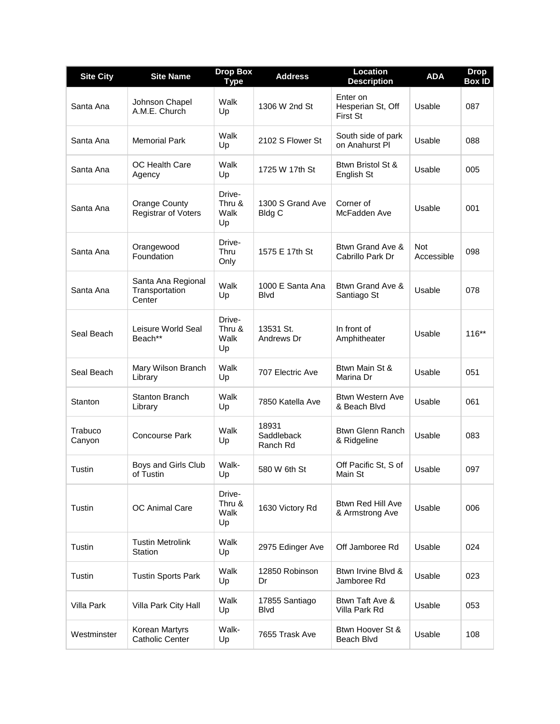| <b>Site City</b>  | <b>Site Name</b>                                   | <b>Drop Box</b><br><b>Type</b> | <b>Address</b>                    | <b>Location</b><br><b>Description</b>            | <b>ADA</b>               | <b>Drop</b><br><b>Box ID</b> |
|-------------------|----------------------------------------------------|--------------------------------|-----------------------------------|--------------------------------------------------|--------------------------|------------------------------|
| Santa Ana         | Johnson Chapel<br>A.M.E. Church                    | Walk<br>Up                     | 1306 W 2nd St                     | Enter on<br>Hesperian St, Off<br><b>First St</b> | Usable                   | 087                          |
| Santa Ana         | <b>Memorial Park</b>                               | Walk<br>Up                     | 2102 S Flower St                  | South side of park<br>on Anahurst PI             | Usable                   | 088                          |
| Santa Ana         | OC Health Care<br>Agency                           | Walk<br>Up                     | 1725 W 17th St                    | Btwn Bristol St &<br>English St                  | Usable                   | 005                          |
| Santa Ana         | <b>Orange County</b><br><b>Registrar of Voters</b> | Drive-<br>Thru &<br>Walk<br>Up | 1300 S Grand Ave<br><b>Bldg C</b> | Corner of<br>McFadden Ave                        | Usable                   | 001                          |
| Santa Ana         | Orangewood<br>Foundation                           | Drive-<br>Thru<br>Only         | 1575 E 17th St                    | Btwn Grand Ave &<br>Cabrillo Park Dr             | <b>Not</b><br>Accessible | 098                          |
| Santa Ana         | Santa Ana Regional<br>Transportation<br>Center     | Walk<br>Up                     | 1000 E Santa Ana<br><b>B</b> lvd  | Btwn Grand Ave &<br>Santiago St                  | Usable                   | 078                          |
| Seal Beach        | Leisure World Seal<br>Beach**                      | Drive-<br>Thru &<br>Walk<br>Up | 13531 St.<br>Andrews Dr           | In front of<br>Amphitheater                      | Usable                   | 116**                        |
| Seal Beach        | Mary Wilson Branch<br>Library                      | Walk<br>Up                     | 707 Electric Ave                  | Btwn Main St &<br>Marina Dr                      | Usable                   | 051                          |
| Stanton           | <b>Stanton Branch</b><br>Library                   | Walk<br>Up                     | 7850 Katella Ave                  | <b>Btwn Western Ave</b><br>& Beach Blvd          | Usable                   | 061                          |
| Trabuco<br>Canyon | <b>Concourse Park</b>                              | Walk<br>Up                     | 18931<br>Saddleback<br>Ranch Rd   | <b>Btwn Glenn Ranch</b><br>& Ridgeline           | Usable                   | 083                          |
| Tustin            | Boys and Girls Club<br>of Tustin                   | Walk-<br>Up                    | 580 W 6th St                      | Off Pacific St, S of<br>Main St                  | Usable                   | 097                          |
| Tustin            | OC Animal Care                                     | Drive-<br>Thru &<br>Walk<br>Up | 1630 Victory Rd                   | <b>Btwn Red Hill Ave</b><br>& Armstrong Ave      | Usable                   | 006                          |
| Tustin            | <b>Tustin Metrolink</b><br>Station                 | Walk<br>Up                     | 2975 Edinger Ave                  | Off Jamboree Rd                                  | Usable                   | 024                          |
| Tustin            | <b>Tustin Sports Park</b>                          | Walk<br>Up                     | 12850 Robinson<br>Dr              | Btwn Irvine Blvd &<br>Jamboree Rd                | Usable                   | 023                          |
| Villa Park        | Villa Park City Hall                               | Walk<br>Up                     | 17855 Santiago<br><b>Blvd</b>     | Btwn Taft Ave &<br>Villa Park Rd                 | Usable                   | 053                          |
| Westminster       | Korean Martyrs<br><b>Catholic Center</b>           | Walk-<br>Up                    | 7655 Trask Ave                    | Btwn Hoover St &<br>Beach Blvd                   | Usable                   | 108                          |